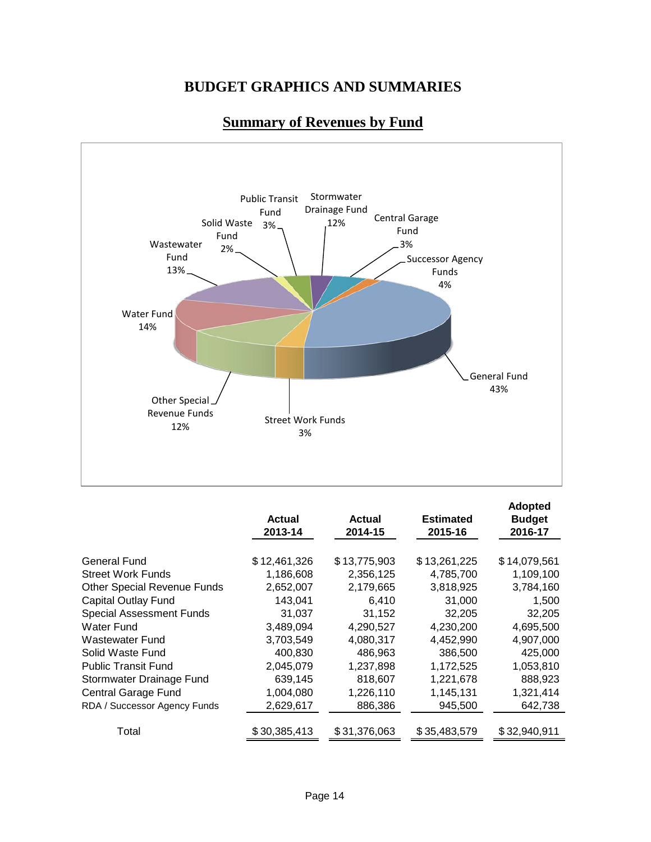

## **Summary of Revenues by Fund**

|                                    | <b>Actual</b><br>2013-14 | <b>Actual</b><br>2014-15 | <b>Estimated</b><br>2015-16 | <b>Adopted</b><br><b>Budget</b><br>2016-17 |
|------------------------------------|--------------------------|--------------------------|-----------------------------|--------------------------------------------|
| <b>General Fund</b>                | \$12,461,326             | \$13,775,903             | \$13,261,225                | \$14,079,561                               |
| <b>Street Work Funds</b>           | 1,186,608                | 2,356,125                | 4,785,700                   | 1,109,100                                  |
| <b>Other Special Revenue Funds</b> | 2,652,007                | 2,179,665                | 3,818,925                   | 3,784,160                                  |
| <b>Capital Outlay Fund</b>         | 143,041                  | 6,410                    | 31,000                      | 1,500                                      |
| <b>Special Assessment Funds</b>    | 31,037                   | 31,152                   | 32,205                      | 32,205                                     |
| <b>Water Fund</b>                  | 3,489,094                | 4,290,527                | 4,230,200                   | 4,695,500                                  |
| <b>Wastewater Fund</b>             | 3,703,549                | 4,080,317                | 4,452,990                   | 4,907,000                                  |
| Solid Waste Fund                   | 400,830                  | 486,963                  | 386,500                     | 425,000                                    |
| <b>Public Transit Fund</b>         | 2,045,079                | 1,237,898                | 1,172,525                   | 1,053,810                                  |
| Stormwater Drainage Fund           | 639,145                  | 818,607                  | 1,221,678                   | 888,923                                    |
| <b>Central Garage Fund</b>         | 1,004,080                | 1,226,110                | 1,145,131                   | 1,321,414                                  |
| RDA / Successor Agency Funds       | 2,629,617                | 886,386                  | 945,500                     | 642,738                                    |
| Total                              | \$30,385,413             | \$31,376,063             | \$35,483,579                | \$32,940,911                               |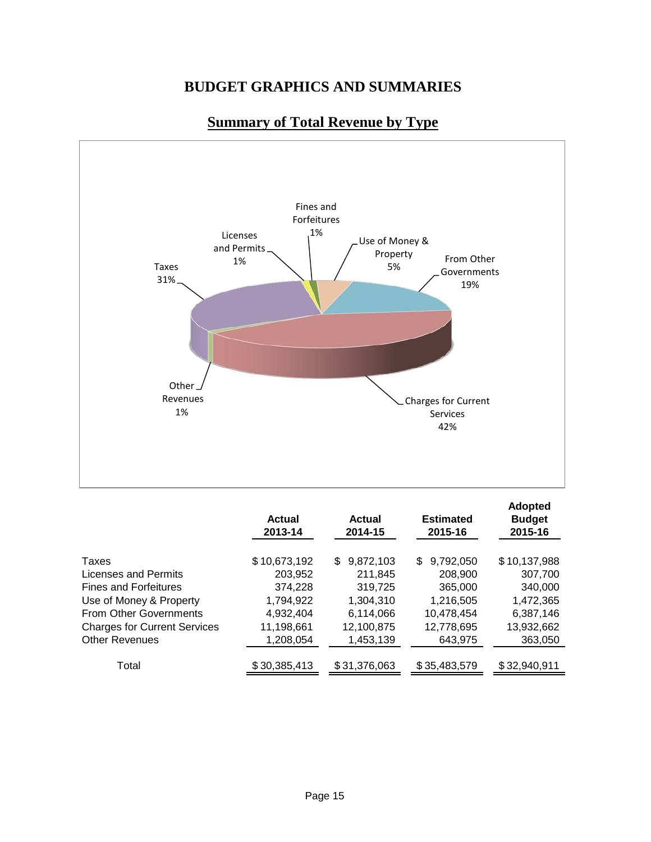

## **Summary of Total Revenue by Type**

|                                     | <b>Actual</b><br>2013-14 | Actual<br>2014-15 | <b>Estimated</b><br>2015-16 | <b>Adopted</b><br><b>Budget</b><br>2015-16 |
|-------------------------------------|--------------------------|-------------------|-----------------------------|--------------------------------------------|
| Taxes                               | \$10,673,192             | 9,872,103<br>\$   | 9,792,050<br>\$             | \$10,137,988                               |
| Licenses and Permits                | 203,952                  | 211,845           | 208,900                     | 307,700                                    |
| <b>Fines and Forfeitures</b>        | 374,228                  | 319,725           | 365,000                     | 340,000                                    |
| Use of Money & Property             | 1,794,922                | 1,304,310         | 1,216,505                   | 1,472,365                                  |
| <b>From Other Governments</b>       | 4,932,404                | 6,114,066         | 10,478,454                  | 6,387,146                                  |
| <b>Charges for Current Services</b> | 11,198,661               | 12,100,875        | 12,778,695                  | 13,932,662                                 |
| <b>Other Revenues</b>               | 1,208,054                | 1,453,139         | 643,975                     | 363,050                                    |
| Total                               | \$30,385,413             | \$31,376,063      | \$35,483,579                | \$32,940,911                               |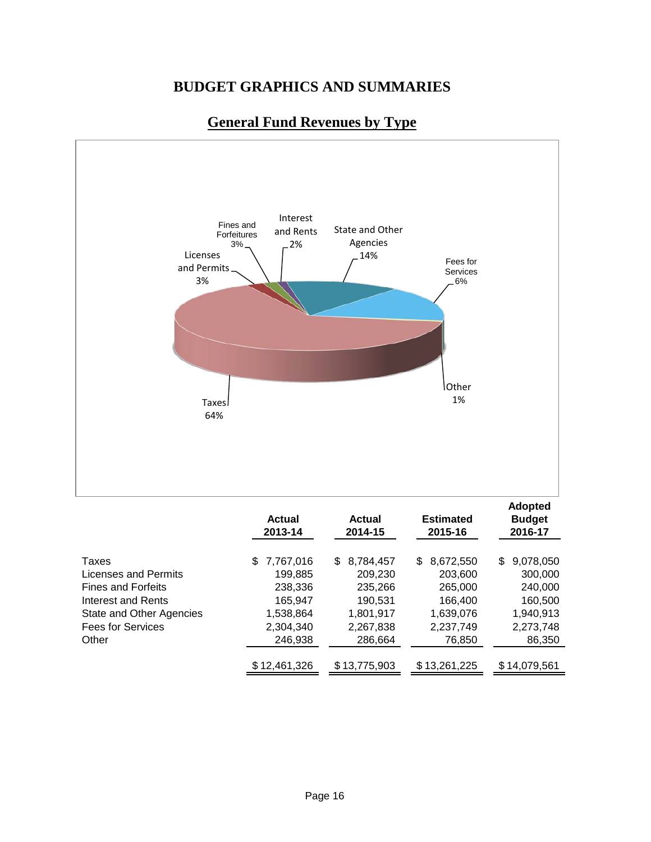

## **General Fund Revenues by Type**

|                           | <b>Actual</b><br>2013-14 | Actual<br>2014-15 | <b>Estimated</b><br>2015-16 | <b>Adopted</b><br><b>Budget</b><br>2016-17 |
|---------------------------|--------------------------|-------------------|-----------------------------|--------------------------------------------|
| Taxes                     | 7,767,016<br>S.          | 8,784,457<br>\$.  | \$<br>8,672,550             | 9,078,050<br>\$.                           |
| Licenses and Permits      | 199,885                  | 209,230           | 203,600                     | 300,000                                    |
| <b>Fines and Forfeits</b> | 238,336                  | 235,266           | 265,000                     | 240,000                                    |
| Interest and Rents        | 165,947                  | 190,531           | 166,400                     | 160,500                                    |
| State and Other Agencies  | 1,538,864                | 1,801,917         | 1,639,076                   | 1,940,913                                  |
| <b>Fees for Services</b>  | 2,304,340                | 2,267,838         | 2,237,749                   | 2,273,748                                  |
| Other                     | 246,938                  | 286,664           | 76,850                      | 86,350                                     |
|                           |                          |                   |                             |                                            |
|                           | \$12,461,326             | \$13,775,903      | \$13,261,225                | \$14,079,561                               |